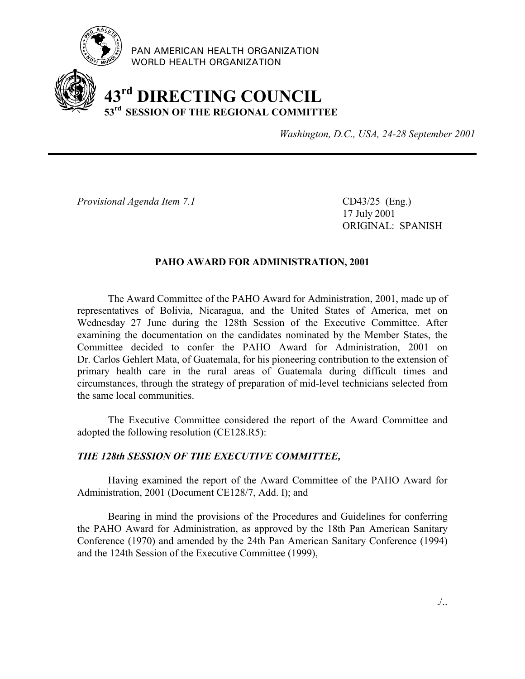

PAN AMERICAN HEALTH ORGANIZATION WORLD HEALTH ORGANIZATION

## **43rd DIRECTING COUNCIL 53rd SESSION OF THE REGIONAL COMMITTEE**

*Washington, D.C., USA, 24-28 September 2001*

*Provisional Agenda Item 7.1* CD43/25 (Eng.)

17 July 2001 ORIGINAL: SPANISH

## **PAHO AWARD FOR ADMINISTRATION, 2001**

The Award Committee of the PAHO Award for Administration, 2001, made up of representatives of Bolivia, Nicaragua, and the United States of America, met on Wednesday 27 June during the 128th Session of the Executive Committee. After examining the documentation on the candidates nominated by the Member States, the Committee decided to confer the PAHO Award for Administration, 2001 on Dr. Carlos Gehlert Mata, of Guatemala, for his pioneering contribution to the extension of primary health care in the rural areas of Guatemala during difficult times and circumstances, through the strategy of preparation of mid-level technicians selected from the same local communities.

The Executive Committee considered the report of the Award Committee and adopted the following resolution (CE128.R5):

## *THE 128th SESSION OF THE EXECUTIVE COMMITTEE,*

Having examined the report of the Award Committee of the PAHO Award for Administration, 2001 (Document CE128/7, Add. I); and

Bearing in mind the provisions of the Procedures and Guidelines for conferring the PAHO Award for Administration, as approved by the 18th Pan American Sanitary Conference (1970) and amended by the 24th Pan American Sanitary Conference (1994) and the 124th Session of the Executive Committee (1999),